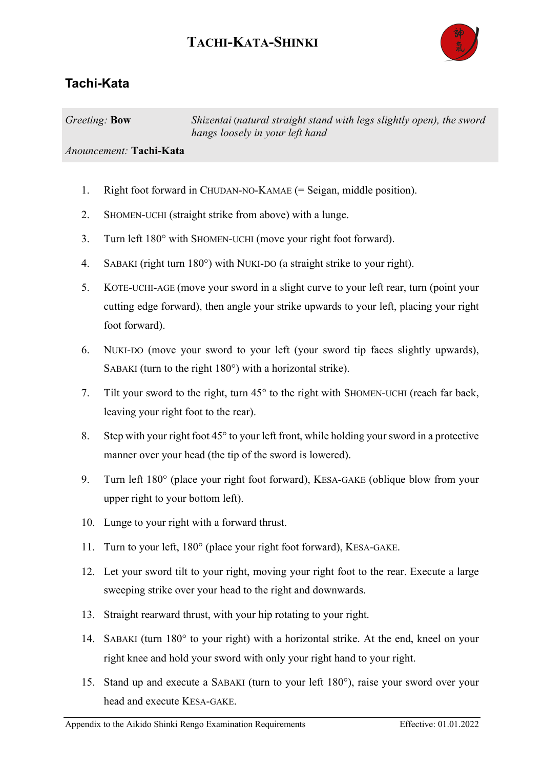## **TACHI-KATA-SHINKI**



## **Tachi-Kata**

*Greeting:* **Bow** *Shizentai* (*natural straight stand with legs slightly open), the sword hangs loosely in your left hand*

## *Anouncement:* **Tachi-Kata**

- 1. Right foot forward in CHUDAN-NO-KAMAE (= Seigan, middle position).
- 2. SHOMEN-UCHI (straight strike from above) with a lunge.
- 3. Turn left 180° with SHOMEN-UCHI (move your right foot forward).
- 4. SABAKI (right turn 180°) with NUKI-DO (a straight strike to your right).
- 5. KOTE-UCHI-AGE (move your sword in a slight curve to your left rear, turn (point your cutting edge forward), then angle your strike upwards to your left, placing your right foot forward).
- 6. NUKI-DO (move your sword to your left (your sword tip faces slightly upwards), SABAKI (turn to the right 180°) with a horizontal strike).
- 7. Tilt your sword to the right, turn 45° to the right with SHOMEN-UCHI (reach far back, leaving your right foot to the rear).
- 8. Step with your right foot 45° to your left front, while holding your sword in a protective manner over your head (the tip of the sword is lowered).
- 9. Turn left 180° (place your right foot forward), KESA-GAKE (oblique blow from your upper right to your bottom left).
- 10. Lunge to your right with a forward thrust.
- 11. Turn to your left, 180° (place your right foot forward), KESA-GAKE.
- 12. Let your sword tilt to your right, moving your right foot to the rear. Execute a large sweeping strike over your head to the right and downwards.
- 13. Straight rearward thrust, with your hip rotating to your right.
- 14. SABAKI (turn 180° to your right) with a horizontal strike. At the end, kneel on your right knee and hold your sword with only your right hand to your right.
- 15. Stand up and execute a SABAKI (turn to your left 180°), raise your sword over your head and execute KESA-GAKE.